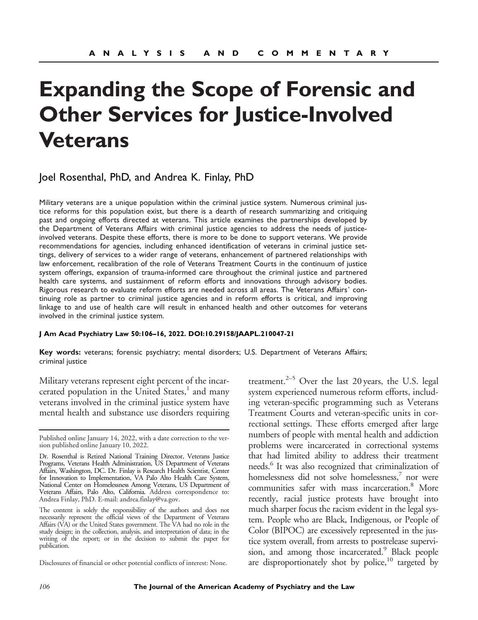# **Expanding the Scope of Forensic and Other Services for Justice-Involved Veterans**

## Joel Rosenthal, PhD, and Andrea K. Finlay, PhD

Military veterans are a unique population within the criminal justice system. Numerous criminal justice reforms for this population exist, but there is a dearth of research summarizing and critiquing past and ongoing efforts directed at veterans. This article examines the partnerships developed by the Department of Veterans Affairs with criminal justice agencies to address the needs of justiceinvolved veterans. Despite these efforts, there is more to be done to support veterans. We provide recommendations for agencies, including enhanced identification of veterans in criminal justice settings, delivery of services to a wider range of veterans, enhancement of partnered relationships with law enforcement, recalibration of the role of Veterans Treatment Courts in the continuum of justice system offerings, expansion of trauma-informed care throughout the criminal justice and partnered health care systems, and sustainment of reform efforts and innovations through advisory bodies. Rigorous research to evaluate reform efforts are needed across all areas. The Veterans Affairs' continuing role as partner to criminal justice agencies and in reform efforts is critical, and improving linkage to and use of health care will result in enhanced health and other outcomes for veterans involved in the criminal justice system.

#### **J Am Acad Psychiatry Law 50:106–16, 2022. DOI:10.29158/JAAPL.210047-21**

**Key words:** veterans; forensic psychiatry; mental disorders; U.S. Department of Veterans Affairs; criminal justice

Military veterans represent eight percent of the incarcerated population in the United States, $\frac{1}{1}$  and many veterans involved in the criminal justice system have mental health and substance use disorders requiring

Disclosures of financial or other potential conflicts of interest: None.

treatment. $2-5$  Over the last 20 years, the U.S. legal system experienced numerous reform efforts, including veteran-specific programming such as Veterans Treatment Courts and veteran-specific units in correctional settings. These efforts emerged after large numbers of people with mental health and addiction problems were incarcerated in correctional systems that had limited ability to address their treatment needs.<sup>6</sup> It was also recognized that criminalization of homelessness did not solve homelessness, $7$  nor were communities safer with mass incarceration.<sup>8</sup> More recently, racial justice protests have brought into much sharper focus the racism evident in the legal system. People who are Black, Indigenous, or People of Color (BIPOC) are excessively represented in the justice system overall, from arrests to postrelease supervision, and among those incarcerated.<sup>9</sup> Black people are disproportionately shot by police, $10$  targeted by

Published online January 14, 2022, with a date correction to the version published online January 10, 2022.

Dr. Rosenthal is Retired National Training Director, Veterans Justice Programs, Veterans Health Administration, US Department of Veterans Affairs, Washington, DC. Dr. Finlay is Research Health Scientist, Center for Innovation to Implementation, VA Palo Alto Health Care System, National Center on Homelessness Among Veterans, US Department of Veterans Affairs, Palo Alto, California. Address correspondence to: Andrea Finlay, PhD. E-mail: [andrea.finlay@va.gov](mailto:andrea.finlay@va.gov).

The content is solely the responsibility of the authors and does not necessarily represent the official views of the Department of Veterans Affairs (VA) or the United States government. The VA had no role in the study design; in the collection, analysis, and interpretation of data; in the writing of the report; or in the decision to submit the paper for publication.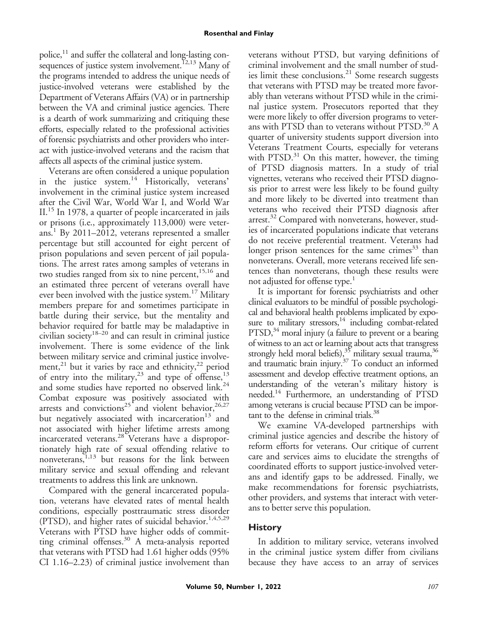police,<sup>11</sup> and suffer the collateral and long-lasting consequences of justice system involvement.<sup> $12,13$ </sup> Many of the programs intended to address the unique needs of justice-involved veterans were established by the Department of Veterans Affairs (VA) or in partnership between the VA and criminal justice agencies. There is a dearth of work summarizing and critiquing these efforts, especially related to the professional activities of forensic psychiatrists and other providers who interact with justice-involved veterans and the racism that affects all aspects of the criminal justice system.

Veterans are often considered a unique population in the justice system.<sup>14</sup> Historically, veterans' involvement in the criminal justice system increased after the Civil War, World War I, and World War II.15 In 1978, a quarter of people incarcerated in jails or prisons (i.e., approximately 113,000) were veterans.<sup>1</sup> By 2011–2012, veterans represented a smaller percentage but still accounted for eight percent of prison populations and seven percent of jail populations. The arrest rates among samples of veterans in two studies ranged from six to nine percent, $15,16$  and an estimated three percent of veterans overall have ever been involved with the justice system.<sup>17</sup> Military members prepare for and sometimes participate in battle during their service, but the mentality and behavior required for battle may be maladaptive in civilian society<sup>18–20</sup> and can result in criminal justice involvement. There is some evidence of the link between military service and criminal justice involvement,<sup>21</sup> but it varies by race and ethnicity,<sup>22</sup> period of entry into the military,<sup>23</sup> and type of offense,<sup>13</sup> and some studies have reported no observed link.<sup>24</sup> Combat exposure was positively associated with arrests and convictions<sup>25</sup> and violent behavior,<sup>26,27</sup> but negatively associated with incarceration $13$  and not associated with higher lifetime arrests among incarcerated veterans.28 Veterans have a disproportionately high rate of sexual offending relative to nonveterans,  $\sum_{n=1}^{\infty}$  but reasons for the link between military service and sexual offending and relevant treatments to address this link are unknown.

Compared with the general incarcerated population, veterans have elevated rates of mental health conditions, especially posttraumatic stress disorder (PTSD), and higher rates of suicidal behavior.<sup>1,4,5,29</sup> Veterans with PTSD have higher odds of committing criminal offenses.<sup>30</sup> A meta-analysis reported that veterans with PTSD had 1.61 higher odds (95% CI 1.16–2.23) of criminal justice involvement than

veterans without PTSD, but varying definitions of criminal involvement and the small number of studies limit these conclusions.<sup>21</sup> Some research suggests that veterans with PTSD may be treated more favorably than veterans without PTSD while in the criminal justice system. Prosecutors reported that they were more likely to offer diversion programs to veterans with PTSD than to veterans without PTSD.<sup>30</sup> A quarter of university students support diversion into Veterans Treatment Courts, especially for veterans with PTSD. $31$  On this matter, however, the timing of PTSD diagnosis matters. In a study of trial vignettes, veterans who received their PTSD diagnosis prior to arrest were less likely to be found guilty and more likely to be diverted into treatment than veterans who received their PTSD diagnosis after arrest.<sup>32</sup> Compared with nonveterans, however, studies of incarcerated populations indicate that veterans do not receive preferential treatment. Veterans had longer prison sentences for the same crimes $33$  than nonveterans. Overall, more veterans received life sentences than nonveterans, though these results were not adjusted for offense type.<sup>1</sup>

It is important for forensic psychiatrists and other clinical evaluators to be mindful of possible psychological and behavioral health problems implicated by exposure to military stressors,<sup>14</sup> including combat-related  $PTSD<sup>34</sup>$  moral injury (a failure to prevent or a bearing of witness to an act or learning about acts that transgress strongly held moral beliefs),  $35$  military sexual trauma,  $36$ and traumatic brain injury.37 To conduct an informed assessment and develop effective treatment options, an understanding of the veteran's military history is needed.<sup>14</sup> Furthermore, an understanding of PTSD among veterans is crucial because PTSD can be important to the defense in criminal trials.<sup>38</sup>

We examine VA-developed partnerships with criminal justice agencies and describe the history of reform efforts for veterans. Our critique of current care and services aims to elucidate the strengths of coordinated efforts to support justice-involved veterans and identify gaps to be addressed. Finally, we make recommendations for forensic psychiatrists, other providers, and systems that interact with veterans to better serve this population.

# **History**

In addition to military service, veterans involved in the criminal justice system differ from civilians because they have access to an array of services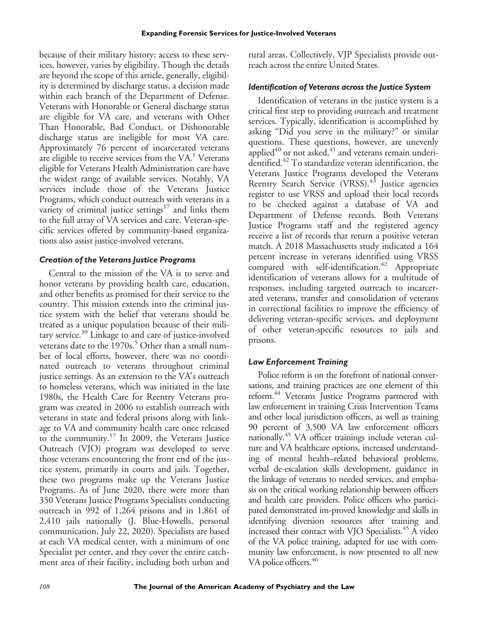because of their military history; access to these services, however, varies by eligibility. Though the details are beyond the scope of this article, generally, eligibility is determined by discharge status, a decision made within each branch of the Department of Defense. Veterans with Honorable or General discharge status are eligible for VA care, and veterans with Other Than Honorable, Bad Conduct, or Dishonorable discharge status are ineligible for most VA care. Approximately 76 percent of incarcerated veterans are eligible to receive services from the VA.<sup>1</sup> Veterans eligible for Veterans Health Administration care have the widest range of available services. Notably, VA services include those of the Veterans Justice Programs, which conduct outreach with veterans in a variety of criminal justice settings $17$  and links them to the full array of VA services and care. Veteran-specific services offered by community-based organizations also assist justice-involved veterans.

## *Creation of the Veterans Justice Programs*

Central to the mission of the VA is to serve and honor veterans by providing health care, education, and other benefits as promised for their service to the country. This mission extends into the criminal justice system with the belief that veterans should be treated as a unique population because of their military service.<sup>39</sup> Linkage to and care of justice-involved veterans date to the  $1970s<sup>5</sup>$  Other than a small number of local efforts, however, there was no coordinated outreach to veterans throughout criminal justice settings. As an extension to the VA's outreach to homeless veterans, which was initiated in the late 1980s, the Health Care for Reentry Veterans program was created in 2006 to establish outreach with veterans in state and federal prisons along with linkage to VA and community health care once released to the community.17 In 2009, the Veterans Justice Outreach (VJO) program was developed to serve those veterans encountering the front end of the justice system, primarily in courts and jails. Together, these two programs make up the Veterans Justice Programs. As of June 2020, there were more than 350 Veterans Justice Programs Specialists conducting outreach in 992 of 1,264 prisons and in 1,861 of 2,410 jails nationally (J. Blue-Howells, personal communication, July 22, 2020). Specialists are based at each VA medical center, with a minimum of one Specialist per center, and they cover the entire catchment area of their facility, including both urban and rural areas. Collectively, VJP Specialists provide outreach across the entire United States.

## *Identification of Veterans across the Justice System*

Identification of veterans in the justice system is a critical first step to providing outreach and treatment services. Typically, identification is accomplished by asking "Did you serve in the military?" or similar questions. These questions, however, are unevenly applied $40$  or not asked, $41$  and veterans remain underidentified.42 To standardize veteran identification, the Veterans Justice Programs developed the Veterans Reentry Search Service (VRSS).<sup>43</sup> Justice agencies register to use VRSS and upload their local records to be checked against a database of VA and Department of Defense records. Both Veterans Justice Programs staff and the registered agency receive a list of records that return a positive veteran match. A 2018 Massachusetts study indicated a 164 percent increase in veterans identified using VRSS compared with self-identification.<sup>42</sup> Appropriate identification of veterans allows for a multitude of responses, including targeted outreach to incarcerated veterans, transfer and consolidation of veterans in correctional facilities to improve the efficiency of delivering veteran-specific services, and deployment of other veteran-specific resources to jails and prisons.

## *Law Enforcement Training*

Police reform is on the forefront of national conversations, and training practices are one element of this reform.<sup>44</sup> Veterans Justice Programs partnered with law enforcement in training Crisis Intervention Teams and other local jurisdiction officers, as well as training 90 percent of 3,500 VA law enforcement officers nationally.<sup>45</sup> VA officer trainings include veteran culture and VA healthcare options, increased understanding of mental health–related behavioral problems, verbal de-escalation skills development, guidance in the linkage of veterans to needed services, and emphasis on the critical working relationship between officers and health care providers. Police officers who participated demonstrated im-proved knowledge and skills in identifying diversion resources after training and increased their contact with VJO Specialists.<sup>45</sup> A video of the VA police training, adapted for use with community law enforcement, is now presented to all new VA police officers.<sup>46</sup>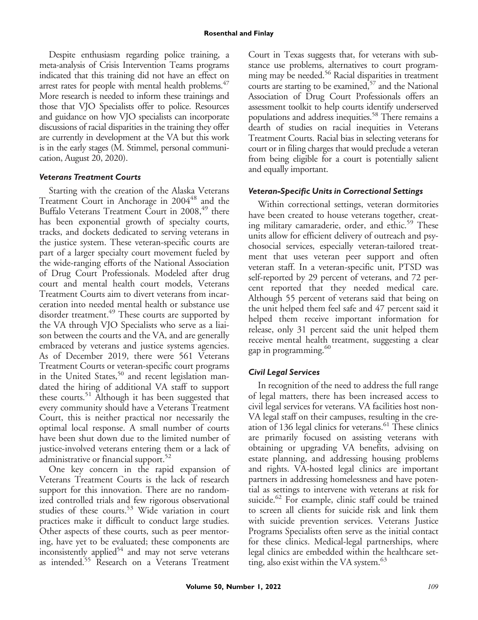Despite enthusiasm regarding police training, a meta-analysis of Crisis Intervention Teams programs indicated that this training did not have an effect on arrest rates for people with mental health problems.<sup>47</sup> More research is needed to inform these trainings and those that VJO Specialists offer to police. Resources and guidance on how VJO specialists can incorporate discussions of racial disparities in the training they offer are currently in development at the VA but this work is in the early stages (M. Stimmel, personal communication, August 20, 2020).

## *Veterans Treatment Courts*

Starting with the creation of the Alaska Veterans Treatment Court in Anchorage in 2004<sup>48</sup> and the Buffalo Veterans Treatment Court in 2008,<sup>49</sup> there has been exponential growth of specialty courts, tracks, and dockets dedicated to serving veterans in the justice system. These veteran-specific courts are part of a larger specialty court movement fueled by the wide-ranging efforts of the National Association of Drug Court Professionals. Modeled after drug court and mental health court models, Veterans Treatment Courts aim to divert veterans from incarceration into needed mental health or substance use disorder treatment.<sup>49</sup> These courts are supported by the VA through VJO Specialists who serve as a liaison between the courts and the VA, and are generally embraced by veterans and justice systems agencies. As of December 2019, there were 561 Veterans Treatment Courts or veteran-specific court programs in the United States,<sup>50</sup> and recent legislation mandated the hiring of additional VA staff to support these courts.51 Although it has been suggested that every community should have a Veterans Treatment Court, this is neither practical nor necessarily the optimal local response. A small number of courts have been shut down due to the limited number of justice-involved veterans entering them or a lack of administrative or financial support.<sup>52</sup>

One key concern in the rapid expansion of Veterans Treatment Courts is the lack of research support for this innovation. There are no randomized controlled trials and few rigorous observational studies of these courts.<sup>53</sup> Wide variation in court practices make it difficult to conduct large studies. Other aspects of these courts, such as peer mentoring, have yet to be evaluated; these components are inconsistently applied<sup>54</sup> and may not serve veterans as intended.55 Research on a Veterans Treatment

Court in Texas suggests that, for veterans with substance use problems, alternatives to court programming may be needed.<sup>56</sup> Racial disparities in treatment courts are starting to be examined,<sup>57</sup> and the National Association of Drug Court Professionals offers an assessment toolkit to help courts identify underserved populations and address inequities.<sup>58</sup> There remains a dearth of studies on racial inequities in Veterans Treatment Courts. Racial bias in selecting veterans for court or in filing charges that would preclude a veteran from being eligible for a court is potentially salient and equally important.

## *Veteran-Specific Units in Correctional Settings*

Within correctional settings, veteran dormitories have been created to house veterans together, creating military camaraderie, order, and ethic.<sup>59</sup> These units allow for efficient delivery of outreach and psychosocial services, especially veteran-tailored treatment that uses veteran peer support and often veteran staff. In a veteran-specific unit, PTSD was self-reported by 29 percent of veterans, and 72 percent reported that they needed medical care. Although 55 percent of veterans said that being on the unit helped them feel safe and 47 percent said it helped them receive important information for release, only 31 percent said the unit helped them receive mental health treatment, suggesting a clear gap in programming. $60$ 

## *Civil Legal Services*

In recognition of the need to address the full range of legal matters, there has been increased access to civil legal services for veterans. VA facilities host non-VA legal staff on their campuses, resulting in the creation of 136 legal clinics for veterans.<sup>61</sup> These clinics are primarily focused on assisting veterans with obtaining or upgrading VA benefits, advising on estate planning, and addressing housing problems and rights. VA-hosted legal clinics are important partners in addressing homelessness and have potential as settings to intervene with veterans at risk for suicide.<sup>62</sup> For example, clinic staff could be trained to screen all clients for suicide risk and link them with suicide prevention services. Veterans Justice Programs Specialists often serve as the initial contact for these clinics. Medical-legal partnerships, where legal clinics are embedded within the healthcare setting, also exist within the VA system. $63$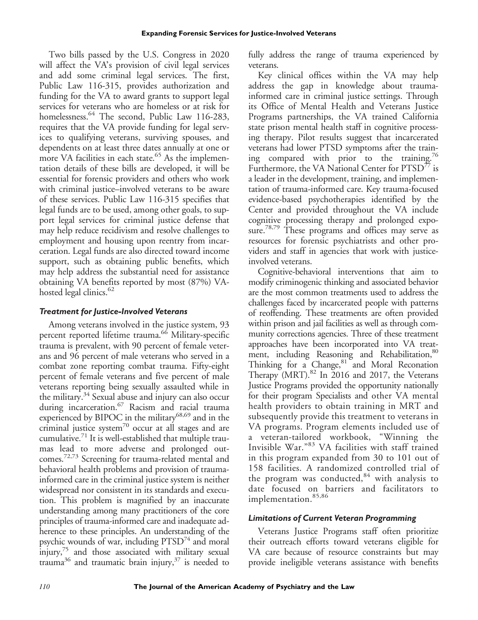Two bills passed by the U.S. Congress in 2020 will affect the VA's provision of civil legal services and add some criminal legal services. The first, Public Law 116-315, provides authorization and funding for the VA to award grants to support legal services for veterans who are homeless or at risk for homelessness.<sup>64</sup> The second, Public Law 116-283, requires that the VA provide funding for legal services to qualifying veterans, surviving spouses, and dependents on at least three dates annually at one or more VA facilities in each state.<sup>65</sup> As the implementation details of these bills are developed, it will be essential for forensic providers and others who work with criminal justice–involved veterans to be aware of these services. Public Law 116-315 specifies that legal funds are to be used, among other goals, to support legal services for criminal justice defense that may help reduce recidivism and resolve challenges to employment and housing upon reentry from incarceration. Legal funds are also directed toward income support, such as obtaining public benefits, which may help address the substantial need for assistance obtaining VA benefits reported by most (87%) VAhosted legal clinics. $62$ 

## *Treatment for Justice-Involved Veterans*

Among veterans involved in the justice system, 93 percent reported lifetime trauma.<sup>66</sup> Military-specific trauma is prevalent, with 90 percent of female veterans and 96 percent of male veterans who served in a combat zone reporting combat trauma. Fifty-eight percent of female veterans and five percent of male veterans reporting being sexually assaulted while in the military.<sup>34</sup> Sexual abuse and injury can also occur during incarceration.<sup>67</sup> Racism and racial trauma experienced by BIPOC in the military<sup>68,69</sup> and in the criminal justice system<sup>70</sup> occur at all stages and are cumulative. $71$  It is well-established that multiple traumas lead to more adverse and prolonged outcomes.72,73 Screening for trauma-related mental and behavioral health problems and provision of traumainformed care in the criminal justice system is neither widespread nor consistent in its standards and execution. This problem is magnified by an inaccurate understanding among many practitioners of the core principles of trauma-informed care and inadequate adherence to these principles. An understanding of the psychic wounds of war, including  $PTSD<sup>74</sup>$  and moral injury,<sup>75</sup> and those associated with military sexual trauma<sup>36</sup> and traumatic brain injury,<sup>37</sup> is needed to fully address the range of trauma experienced by veterans.

Key clinical offices within the VA may help address the gap in knowledge about traumainformed care in criminal justice settings. Through its Office of Mental Health and Veterans Justice Programs partnerships, the VA trained California state prison mental health staff in cognitive processing therapy. Pilot results suggest that incarcerated veterans had lower PTSD symptoms after the training compared with prior to the training.<sup>76</sup> Furthermore, the VA National Center for PTSD<sup>77</sup> is a leader in the development, training, and implementation of trauma-informed care. Key trauma-focused evidence-based psychotherapies identified by the Center and provided throughout the VA include cognitive processing therapy and prolonged exposure.<sup>78,79</sup> These programs and offices may serve as resources for forensic psychiatrists and other providers and staff in agencies that work with justiceinvolved veterans.

Cognitive-behavioral interventions that aim to modify criminogenic thinking and associated behavior are the most common treatments used to address the challenges faced by incarcerated people with patterns of reoffending. These treatments are often provided within prison and jail facilities as well as through community corrections agencies. Three of these treatment approaches have been incorporated into VA treatment, including Reasoning and Rehabilitation, 80 Thinking for a Change,<sup>81</sup> and Moral Reconation Therapy  $(MRT)$ .<sup>82</sup> In 2016 and 2017, the Veterans Justice Programs provided the opportunity nationally for their program Specialists and other VA mental health providers to obtain training in MRT and subsequently provide this treatment to veterans in VA programs. Program elements included use of a veteran-tailored workbook, "Winning the Invisible War."<sup>83</sup> VA facilities with staff trained in this program expanded from 30 to 101 out of 158 facilities. A randomized controlled trial of the program was conducted, $84$  with analysis to date focused on barriers and facilitators to implementation. 85,86

## *Limitations of Current Veteran Programming*

Veterans Justice Programs staff often prioritize their outreach efforts toward veterans eligible for VA care because of resource constraints but may provide ineligible veterans assistance with benefits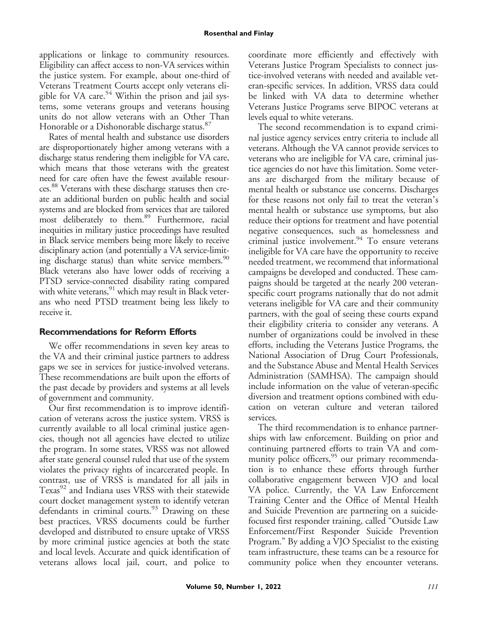#### **Rosenthal and Finlay**

applications or linkage to community resources. Eligibility can affect access to non-VA services within the justice system. For example, about one-third of Veterans Treatment Courts accept only veterans eligible for VA care.<sup>54</sup> Within the prison and jail systems, some veterans groups and veterans housing units do not allow veterans with an Other Than Honorable or a Dishonorable discharge status.<sup>87</sup>

Rates of mental health and substance use disorders are disproportionately higher among veterans with a discharge status rendering them ineligible for VA care, which means that those veterans with the greatest need for care often have the fewest available resources.88 Veterans with these discharge statuses then create an additional burden on public health and social systems and are blocked from services that are tailored most deliberately to them.<sup>89</sup> Furthermore, racial inequities in military justice proceedings have resulted in Black service members being more likely to receive disciplinary action (and potentially a VA service-limiting discharge status) than white service members.<sup>90</sup> Black veterans also have lower odds of receiving a PTSD service-connected disability rating compared with white veterans, <sup>91</sup> which may result in Black veterans who need PTSD treatment being less likely to receive it.

## **Recommendations for Reform Efforts**

We offer recommendations in seven key areas to the VA and their criminal justice partners to address gaps we see in services for justice-involved veterans. These recommendations are built upon the efforts of the past decade by providers and systems at all levels of government and community.

Our first recommendation is to improve identification of veterans across the justice system. VRSS is currently available to all local criminal justice agencies, though not all agencies have elected to utilize the program. In some states, VRSS was not allowed after state general counsel ruled that use of the system violates the privacy rights of incarcerated people. In contrast, use of VRSS is mandated for all jails in Texas<sup>92</sup> and Indiana uses VRSS with their statewide court docket management system to identify veteran defendants in criminal courts. $93$  Drawing on these best practices, VRSS documents could be further developed and distributed to ensure uptake of VRSS by more criminal justice agencies at both the state and local levels. Accurate and quick identification of veterans allows local jail, court, and police to coordinate more efficiently and effectively with Veterans Justice Program Specialists to connect justice-involved veterans with needed and available veteran-specific services. In addition, VRSS data could be linked with VA data to determine whether Veterans Justice Programs serve BIPOC veterans at levels equal to white veterans.

The second recommendation is to expand criminal justice agency services entry criteria to include all veterans. Although the VA cannot provide services to veterans who are ineligible for VA care, criminal justice agencies do not have this limitation. Some veterans are discharged from the military because of mental health or substance use concerns. Discharges for these reasons not only fail to treat the veteran's mental health or substance use symptoms, but also reduce their options for treatment and have potential negative consequences, such as homelessness and criminal justice involvement.<sup>94</sup> To ensure veterans ineligible for VA care have the opportunity to receive needed treatment, we recommend that informational campaigns be developed and conducted. These campaigns should be targeted at the nearly 200 veteranspecific court programs nationally that do not admit veterans ineligible for VA care and their community partners, with the goal of seeing these courts expand their eligibility criteria to consider any veterans. A number of organizations could be involved in these efforts, including the Veterans Justice Programs, the National Association of Drug Court Professionals, and the Substance Abuse and Mental Health Services Administration (SAMHSA). The campaign should include information on the value of veteran-specific diversion and treatment options combined with education on veteran culture and veteran tailored services.

The third recommendation is to enhance partnerships with law enforcement. Building on prior and continuing partnered efforts to train VA and community police officers,<sup>95</sup> our primary recommendation is to enhance these efforts through further collaborative engagement between VJO and local VA police. Currently, the VA Law Enforcement Training Center and the Office of Mental Health and Suicide Prevention are partnering on a suicidefocused first responder training, called "Outside Law Enforcement/First Responder Suicide Prevention Program." By adding a VJO Specialist to the existing team infrastructure, these teams can be a resource for community police when they encounter veterans.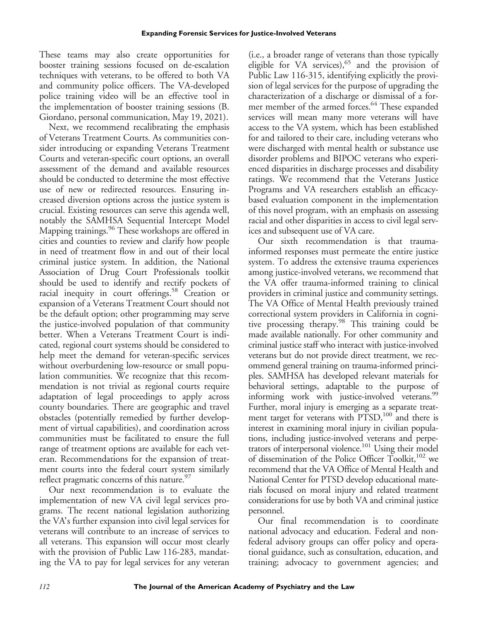These teams may also create opportunities for booster training sessions focused on de-escalation techniques with veterans, to be offered to both VA and community police officers. The VA-developed police training video will be an effective tool in the implementation of booster training sessions (B. Giordano, personal communication, May 19, 2021).

Next, we recommend recalibrating the emphasis of Veterans Treatment Courts. As communities consider introducing or expanding Veterans Treatment Courts and veteran-specific court options, an overall assessment of the demand and available resources should be conducted to determine the most effective use of new or redirected resources. Ensuring increased diversion options across the justice system is crucial. Existing resources can serve this agenda well, notably the SAMHSA Sequential Intercept Model Mapping trainings.<sup>96</sup> These workshops are offered in cities and counties to review and clarify how people in need of treatment flow in and out of their local criminal justice system. In addition, the National Association of Drug Court Professionals toolkit should be used to identify and rectify pockets of racial inequity in court offerings.<sup>58</sup> Creation or expansion of a Veterans Treatment Court should not be the default option; other programming may serve the justice-involved population of that community better. When a Veterans Treatment Court is indicated, regional court systems should be considered to help meet the demand for veteran-specific services without overburdening low-resource or small population communities. We recognize that this recommendation is not trivial as regional courts require adaptation of legal proceedings to apply across county boundaries. There are geographic and travel obstacles (potentially remedied by further development of virtual capabilities), and coordination across communities must be facilitated to ensure the full range of treatment options are available for each veteran. Recommendations for the expansion of treatment courts into the federal court system similarly reflect pragmatic concerns of this nature.<sup>97</sup>

Our next recommendation is to evaluate the implementation of new VA civil legal services programs. The recent national legislation authorizing the VA's further expansion into civil legal services for veterans will contribute to an increase of services to all veterans. This expansion will occur most clearly with the provision of Public Law 116-283, mandating the VA to pay for legal services for any veteran

(i.e., a broader range of veterans than those typically eligible for VA services),<sup>65</sup> and the provision of Public Law 116-315, identifying explicitly the provision of legal services for the purpose of upgrading the characterization of a discharge or dismissal of a former member of the armed forces.<sup>64</sup> These expanded services will mean many more veterans will have access to the VA system, which has been established for and tailored to their care, including veterans who were discharged with mental health or substance use disorder problems and BIPOC veterans who experienced disparities in discharge processes and disability ratings. We recommend that the Veterans Justice Programs and VA researchers establish an efficacybased evaluation component in the implementation of this novel program, with an emphasis on assessing racial and other disparities in access to civil legal services and subsequent use of VA care.

Our sixth recommendation is that traumainformed responses must permeate the entire justice system. To address the extensive trauma experiences among justice-involved veterans, we recommend that the VA offer trauma-informed training to clinical providers in criminal justice and community settings. The VA Office of Mental Health previously trained correctional system providers in California in cognitive processing therapy.98 This training could be made available nationally. For other community and criminal justice staff who interact with justice-involved veterans but do not provide direct treatment, we recommend general training on trauma-informed principles. SAMHSA has developed relevant materials for behavioral settings, adaptable to the purpose of informing work with justice-involved veterans.<sup>99</sup> Further, moral injury is emerging as a separate treatment target for veterans with PTSD,<sup>100</sup> and there is interest in examining moral injury in civilian populations, including justice-involved veterans and perpetrators of interpersonal violence.<sup>101</sup> Using their model of dissemination of the Police Officer Toolkit,<sup>102</sup> we recommend that the VA Office of Mental Health and National Center for PTSD develop educational materials focused on moral injury and related treatment considerations for use by both VA and criminal justice personnel.

Our final recommendation is to coordinate national advocacy and education. Federal and nonfederal advisory groups can offer policy and operational guidance, such as consultation, education, and training; advocacy to government agencies; and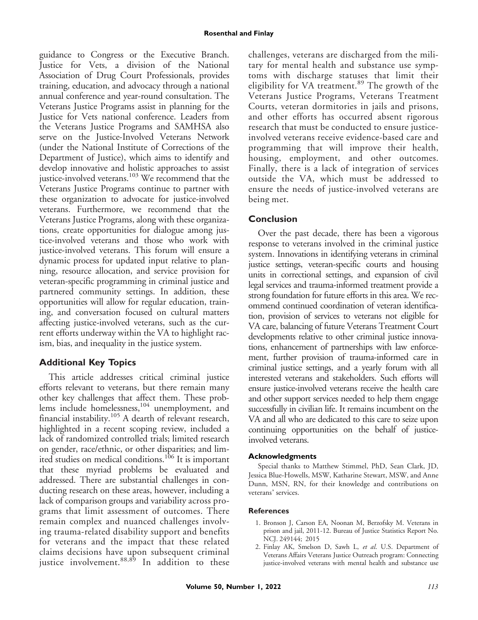guidance to Congress or the Executive Branch. Justice for Vets, a division of the National Association of Drug Court Professionals, provides training, education, and advocacy through a national annual conference and year-round consultation. The Veterans Justice Programs assist in planning for the Justice for Vets national conference. Leaders from the Veterans Justice Programs and SAMHSA also serve on the Justice-Involved Veterans Network (under the National Institute of Corrections of the Department of Justice), which aims to identify and develop innovative and holistic approaches to assist justice-involved veterans.<sup>103</sup> We recommend that the Veterans Justice Programs continue to partner with these organization to advocate for justice-involved veterans. Furthermore, we recommend that the Veterans Justice Programs, along with these organizations, create opportunities for dialogue among justice-involved veterans and those who work with justice-involved veterans. This forum will ensure a dynamic process for updated input relative to planning, resource allocation, and service provision for veteran-specific programming in criminal justice and partnered community settings. In addition, these opportunities will allow for regular education, training, and conversation focused on cultural matters affecting justice-involved veterans, such as the current efforts underway within the VA to highlight racism, bias, and inequality in the justice system.

## **Additional Key Topics**

This article addresses critical criminal justice efforts relevant to veterans, but there remain many other key challenges that affect them. These problems include homelessness,<sup>104</sup> unemployment, and financial instability.<sup>105</sup> A dearth of relevant research, highlighted in a recent scoping review, included a lack of randomized controlled trials; limited research on gender, race/ethnic, or other disparities; and limited studies on medical conditions.<sup>106</sup> It is important that these myriad problems be evaluated and addressed. There are substantial challenges in conducting research on these areas, however, including a lack of comparison groups and variability across programs that limit assessment of outcomes. There remain complex and nuanced challenges involving trauma-related disability support and benefits for veterans and the impact that these related claims decisions have upon subsequent criminal justice involvement.<sup>88,89</sup> In addition to these

challenges, veterans are discharged from the military for mental health and substance use symptoms with discharge statuses that limit their eligibility for VA treatment.<sup>89</sup> The growth of the Veterans Justice Programs, Veterans Treatment Courts, veteran dormitories in jails and prisons, and other efforts has occurred absent rigorous research that must be conducted to ensure justiceinvolved veterans receive evidence-based care and programming that will improve their health, housing, employment, and other outcomes. Finally, there is a lack of integration of services outside the VA, which must be addressed to ensure the needs of justice-involved veterans are being met.

## **Conclusion**

Over the past decade, there has been a vigorous response to veterans involved in the criminal justice system. Innovations in identifying veterans in criminal justice settings, veteran-specific courts and housing units in correctional settings, and expansion of civil legal services and trauma-informed treatment provide a strong foundation for future efforts in this area. We recommend continued coordination of veteran identification, provision of services to veterans not eligible for VA care, balancing of future Veterans Treatment Court developments relative to other criminal justice innovations, enhancement of partnerships with law enforcement, further provision of trauma-informed care in criminal justice settings, and a yearly forum with all interested veterans and stakeholders. Such efforts will ensure justice-involved veterans receive the health care and other support services needed to help them engage successfully in civilian life. It remains incumbent on the VA and all who are dedicated to this care to seize upon continuing opportunities on the behalf of justiceinvolved veterans.

#### **Acknowledgments**

Special thanks to Matthew Stimmel, PhD, Sean Clark, JD, Jessica Blue-Howells, MSW, Katharine Stewart, MSW, and Anne Dunn, MSN, RN, for their knowledge and contributions on veterans' services.

#### **References**

- 1. Bronson J, Carson EA, Noonan M, Berzofsky M. Veterans in prison and jail, 2011-12. Bureau of Justice Statistics Report No. NCJ. 249144; 2015
- 2. Finlay AK, Smelson D, Sawh L, et al. U.S. Department of Veterans Affairs Veterans Justice Outreach program: Connecting justice-involved veterans with mental health and substance use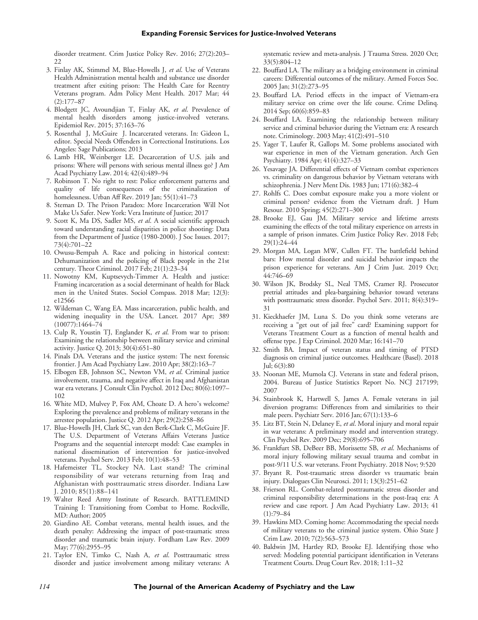disorder treatment. Crim Justice Policy Rev. 2016; 27(2):203– 22

- 3. Finlay AK, Stimmel M, Blue-Howells J, et al. Use of Veterans Health Administration mental health and substance use disorder treatment after exiting prison: The Health Care for Reentry Veterans program. Adm Policy Ment Health. 2017 Mar; 44 (2):177–87
- 4. Blodgett JC, Avoundjian T, Finlay AK, et al. Prevalence of mental health disorders among justice-involved veterans. Epidemiol Rev. 2015; 37:163–76
- 5. Rosenthal J, McGuire J. Incarcerated veterans. In: Gideon L, editor. Special Needs Offenders in Correctional Institutions. Los Angeles: Sage Publications; 2013
- 6. Lamb HR, Weinberger LE. Decarceration of U.S. jails and prisons: Where will persons with serious mental illness go? J Am Acad Psychiatry Law. 2014; 42(4):489–94
- 7. Robinson T. No right to rest: Police enforcement patterns and quality of life consequences of the criminalization of homelessness. Urban Aff Rev. 2019 Jan; 55(1):41–73
- 8. Steman D. The Prison Paradox: More Incarceration Will Not Make Us Safer. New York: Vera Institute of Justice; 2017
- 9. Scott K, Ma DS, Sadler MS, et al. A social scientific approach toward understanding racial disparities in police shooting: Data from the Department of Justice (1980-2000). J Soc Issues. 2017; 73(4):701–22
- 10. Owusu-Bempah A. Race and policing in historical context: Dehumanization and the policing of Black people in the 21st century. Theor Criminol. 2017 Feb; 21(1):23–34
- 11. Nowotny KM, Kuptsevych-Timmer A. Health and justice: Framing incarceration as a social determinant of health for Black men in the United States. Sociol Compass. 2018 Mar; 12(3): e12566
- 12. Wildeman C, Wang EA. Mass incarceration, public health, and widening inequality in the USA. Lancet. 2017 Apr; 389 (10077):1464–74
- 13. Culp R, Youstin TJ, Englander K, et al. From war to prison: Examining the relationship between military service and criminal activity. Justice Q. 2013; 30(4):651–80
- 14. Pinals DA. Veterans and the justice system: The next forensic frontier. J Am Acad Psychiatry Law. 2010 Apr; 38(2):163–7
- 15. Elbogen EB, Johnson SC, Newton VM, et al. Criminal justice involvement, trauma, and negative affect in Iraq and Afghanistan war era veterans. J Consult Clin Psychol. 2012 Dec; 80(6):1097– 102
- 16. White MD, Mulvey P, Fox AM, Choate D. A hero's welcome? Exploring the prevalence and problems of military veterans in the arrestee population. Justice Q. 2012 Apr; 29(2):258–86
- 17. Blue-Howells JH, Clark SC, van den Berk-Clark C, McGuire JF. The U.S. Department of Veterans Affairs Veterans Justice Programs and the sequential intercept model: Case examples in national dissemination of intervention for justice-involved veterans. Psychol Serv. 2013 Feb; 10(1):48–53
- 18. Hafemeister TL, Stockey NA. Last stand? The criminal responsibility of war veterans returning from Iraq and Afghanistan with posttraumatic stress disorder. Indiana Law J. 2010; 85(1):88–141
- 19. Walter Reed Army Institute of Research. BATTLEMIND Training I: Transitioning from Combat to Home. Rockville, MD: Author; 2005
- 20. Giardino AE. Combat veterans, mental health issues, and the death penalty: Addressing the impact of post-traumatic stress disorder and traumatic brain injury. Fordham Law Rev. 2009 May; 77(6):2955–95
- 21. Taylor EN, Timko C, Nash A, et al. Posttraumatic stress disorder and justice involvement among military veterans: A

systematic review and meta-analysis. J Trauma Stress. 2020 Oct; 33(5):804–12

- 22. Bouffard LA. The military as a bridging environment in criminal careers: Differential outcomes of the military. Armed Forces Soc. 2005 Jan; 31(2):273–95
- 23. Bouffard LA. Period effects in the impact of Vietnam-era military service on crime over the life course. Crime Delinq. 2014 Sep; 60(6):859–83
- 24. Bouffard LA. Examining the relationship between military service and criminal behavior during the Vietnam era: A research note. Criminology. 2003 May; 41(2):491–510
- 25. Yager T, Laufer R, Gallops M. Some problems associated with war experience in men of the Vietnam generation. Arch Gen Psychiatry. 1984 Apr; 41(4):327–33
- 26. Yesavage JA. Differential effects of Vietnam combat experiences vs. criminality on dangerous behavior by Vietnam veterans with schizophrenia. J Nerv Ment Dis. 1983 Jun; 171(6):382–4
- 27. Rohlfs C. Does combat exposure make you a more violent or criminal person? evidence from the Vietnam draft. J Hum Resour. 2010 Spring; 45(2):271–300
- 28. Brooke EJ, Gau JM. Military service and lifetime arrests examining the effects of the total military experience on arrests in a sample of prison inmates. Crim Justice Policy Rev. 2018 Feb; 29(1):24–44
- 29. Morgan MA, Logan MW, Cullen FT. The battlefield behind bars: How mental disorder and suicidal behavior impacts the prison experience for veterans. Am J Crim Just. 2019 Oct; 44:746–69
- 30. Wilson JK, Brodsky SL, Neal TMS, Cramer RJ. Prosecutor pretrial attitudes and plea-bargaining behavior toward veterans with posttraumatic stress disorder. Psychol Serv. 2011; 8(4):319– 31
- 31. Kieckhaefer JM, Luna S. Do you think some veterans are receiving a "get out of jail free" card? Examining support for Veterans Treatment Court as a function of mental health and offense type. J Exp Criminol. 2020 Mar; 16:141–70
- 32. Smith BA. Impact of veteran status and timing of PTSD diagnosis on criminal justice outcomes. Healthcare (Basel). 2018 Jul; 6(3):80
- 33. Noonan ME, Mumola CJ. Veterans in state and federal prison, 2004. Bureau of Justice Statistics Report No. NCJ 217199; 2007
- 34. Stainbrook K, Hartwell S, James A. Female veterans in jail diversion programs: Differences from and similarities to their male peers. Psychiatr Serv. 2016 Jan; 67(1):133–6
- 35. Litz BT, Stein N, Delaney E, et al. Moral injury and moral repair in war veterans: A preliminary model and intervention strategy. Clin Psychol Rev. 2009 Dec; 29(8):695–706
- 36. Frankfurt SB, DeBeer BB, Morissette SB, et al. Mechanisms of moral injury following military sexual trauma and combat in post-9/11 U.S. war veterans. Front Psychiatry. 2018 Nov; 9:520
- 37. Bryant R. Post-traumatic stress disorder vs traumatic brain injury. Dialogues Clin Neurosci. 2011; 13(3):251–62
- 38. Frierson RL. Combat-related posttraumatic stress disorder and criminal responsibility determinations in the post-Iraq era: A review and case report. J Am Acad Psychiatry Law. 2013; 41  $(1):79-84$
- 39. Hawkins MD. Coming home: Accommodating the special needs of military veterans to the criminal justice system. Ohio State J Crim Law. 2010; 7(2):563–573
- 40. Baldwin JM, Hartley RD, Brooke EJ. Identifying those who served: Modeling potential participant identification in Veterans Treatment Courts. Drug Court Rev. 2018; 1:11–32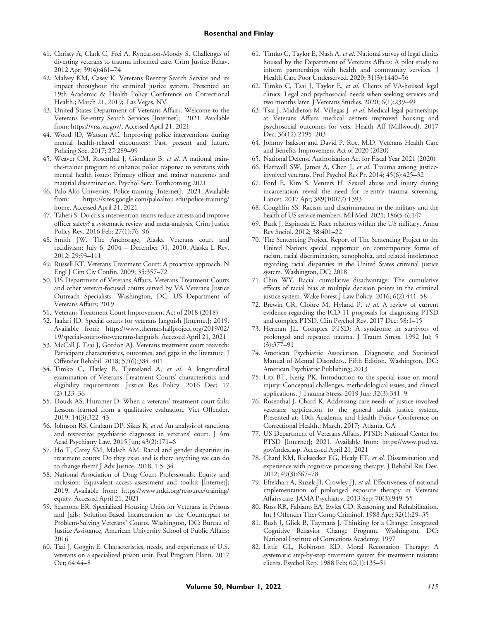- 41. Christy A, Clark C, Frei A, Rynearson-Moody S. Challenges of diverting veterans to trauma informed care. Crim Justice Behav. 2012 Apr; 39(4):461–74
- 42. Malvey KM, Casey K. Veterans Reentry Search Service and its impact throughout the criminal justice system. Presented at: 19th Academic & Health Policy Conference on Correctional Health.; March 21, 2019; Las Vegas, NV
- 43. United States Department of Veterans Affairs. Welcome to the Veterans Re-entry Search Services [Internet]; 2021. Available from:<https://vrss.va.gov/>. Accessed April 21, 2021
- 44. Wood JD, Watson AC. Improving police interventions during mental health-related encounters: Past, present and future. Policing Soc. 2017; 27:289–99
- 45. Weaver CM, Rosenthal J, Giordano B, et al. A national trainthe-trainer program to enhance police response to veterans with mental health issues: Primary officer and trainer outcomes and material dissemination. Psychol Serv. Forthcoming 2021
- 46. Palo Alto University. Police training [Internet]; 2021. Available from: [https://sites.google.com/paloaltou.edu/police-training/](https://sites.google.com/paloaltou.edu/police-training/home) [home.](https://sites.google.com/paloaltou.edu/police-training/home) Accessed April 21, 2021
- 47. Taheri S. Do crisis intervention teams reduce arrests and improve officer safety? a systematic review and meta-analysis. Crim Justice Policy Rev. 2016 Feb; 27(1):76–96
- 48. Smith JW. The Anchorage, Alaska Veterans court and recidivism: July 6, 2004 – December 31, 2010. Alaska L Rev. 2012; 29:93–111
- 49. Russell RT. Veterans Treatment Court: A proactive approach. N Engl J Cim Civ Confin. 2009; 35:357–72
- 50. US Department of Veterans Affairs. Veterans Treatment Courts and other veteran-focused courts served by VA Veterans Justice Outreach Specialists. Washington, DC: US Department of Veterans Affairs; 2019
- 51. Veterans Treatment Court Improvement Act of 2018 (2018)
- 52. Jaafari JD. Special courts for veterans languish [Internet]; 2019. Available from: [https://www.themarshallproject.org/2019/02/](https://www.themarshallproject.org/2019/02/19/special-courts-for-veterans-languish) [19/special-courts-for-veterans-languish.](https://www.themarshallproject.org/2019/02/19/special-courts-for-veterans-languish) Accessed April 21, 2021
- 53. McCall J, Tsai J, Gordon AJ. Veterans treatment court research: Participant characteristics, outcomes, and gaps in the literature. J Offender Rehabil. 2018; 57(6):384–401
- 54. Timko C, Flatley B, Tjemsland A, et al. A longitudinal examination of Veterans Treatment Courts' characteristics and eligibility requirements. Justice Res Policy. 2016 Dec; 17 (2):123–36
- 55. Douds AS, Hummer D: When a veterans' treatment court fails: Lessons learned from a qualitative evaluation. Vict Offender. 2019; 14(3):322–43
- 56. Johnson RS, Graham DP, Sikes K, et al. An analysis of sanctions and respective psychiatric diagnoses in veterans' court. J Am Acad Psychiatry Law. 2015 Jun; 43(2):171–6
- 57. Ho T, Carey SM, Malsch AM. Racial and gender disparities in treatment courts: Do they exist and is there anything we can do to change them? J Adv Justice. 2018; 1:5–34
- 58. National Association of Drug Court Professionals. Equity and inclusion: Equivalent access assessment and toolkit [Internet]; 2019. Available from: [https://www.ndci.org/resource/training/](https://www.ndci.org/resource/training/equity) [equity.](https://www.ndci.org/resource/training/equity) Accessed April 21, 2021
- 59. Seamone ER. Specialized Housing Units for Veterans in Prisons and Jails: Solution-Based Incarceration as the Counterpart to Problem-Solving Veterans' Courts. Washington, DC: Bureau of Justice Assistance, American University School of Public Affairs; 2016
- 60. Tsai J, Goggin E. Characteristics, needs, and experiences of U.S. veterans on a specialized prison unit. Eval Program Plann. 2017 Oct; 64:44–8
- 61. Timko C, Taylor E, Nash A, et al. National survey of legal clinics housed by the Department of Veterans Affairs: A pilot study to inform partnerships with health and community services. J Health Care Poor Underserved. 2020; 31(3):1440–56
- 62. Timko C, Tsai J, Taylor E, et al. Clients of VA-housed legal clinics: Legal and psychosocial needs when seeking services and two months later. J Veterans Studies. 2020; 6(1):239–49
- 63. Tsai J, Middleton M, Villegas J, et al. Medical-legal partnerships at Veterans Affairs medical centers improved housing and psychosocial outcomes for vets. Health Aff (Millwood). 2017 Dec; 36(12):2195–203
- 64. Johnny Isakson and David P. Roe, M.D. Veterans Health Care and Benefits Improvement Act of 2020 (2020)
- 65. National Defense Authorization Act for Fiscal Year 2021 (2020)
- 66. Hartwell SW, James A, Chen J, et al. Trauma among justiceinvolved veterans. Prof Psychol Res Pr. 2014; 45(6):425–32
- 67. Ford E, Kim S, Venters H. Sexual abuse and injury during incarceration reveal the need for re-entry trauma screening. Lancet. 2017 Apr; 389(10077):1393
- 68. Coughlin SS. Racism and discrimination in the military and the health of US service members. Mil Med. 2021; 186(5-6):147
- 69. Burk J, Espinoza E. Race relations within the US military. Annu Rev Sociol. 2012; 38:401–22
- 70. The Sentencing Project. Report of The Sentencing Project to the United Nations special rapporteur on contemporary forms of racism, racial discrimination, xenophobia, and related intolerance: regarding racial disparities in the United States criminal justice system. Washington, DC; 2018
- 71. Chin WY. Racial cumulative disadvantage: The cumulative effects of racial bias at multiple decision points in the criminal justice system. Wake Forest J Law Policy. 2016; 6(2):441–58
- 72. Brewin CR, Cloitre M, Hyland P, et al. A review of current evidence regarding the ICD-11 proposals for diagnosing PTSD and complex PTSD. Clin Psychol Rev. 2017 Dec; 58:1–15
- 73. Herman JL. Complex PTSD: A syndrome in survivors of prolonged and repeated trauma. J Traum Stress. 1992 Jul; 5 (3):377–91
- 74. American Psychiatric Association. Diagnostic and Statistical Manual of Mental Disorders., Fifth Edition. Washington, DC: American Psychiatric Publishing; 2013
- 75. Litz BT, Kerig PK. Introduction to the special issue on moral injury: Conceptual challenges, methodological issues, and clinical applications. J Trauma Stress. 2019 Jun; 32(3):341–9
- 76. Rosenthal J, Chard K. Addressing care needs of justice involved veterans: application to the general adult justice system. Presented at: 10th Academic and Health Policy Conference on Correctional Health.; March, 2017; Atlanta, GA
- 77. US Department of Veterans Affairs. PTSD: National Center for PTSD [Internet]; 2021. Available from: [https://www.ptsd.va.](https://www.ptsd.va.gov/index.asp) [gov/index.asp](https://www.ptsd.va.gov/index.asp). Accessed April 21, 2021
- 78. Chard KM, Ricksecker EG, Healy ET, et al. Dissemination and experience with cognitive processing therapy. J Rehabil Res Dev. 2012; 49(3):667–78
- 79. Eftekhari A, Ruzek JI, Crowley JJ, et al. Effectiveness of national implementation of prolonged exposure therapy in Veterans Affairs care. JAMA Psychiatry. 2013 Sep; 70(3):949–55
- 80. Ross RR, Fabiano EA, Ewles CD. Reasoning and Rehabilitation. Int J Offender Ther Comp Criminol. 1988 Apr; 32(1):29–35
- 81. Bush J, Glick B, Taymans J. Thinking for a Change: Integrated Cognitive Behavior Change Program. Washington, DC: National Institute of Corrections Academy; 1997
- 82. Little GL, Robinson KD. Moral Reconation Therapy: A systematic step-by-step treatment system for treatment resistant clients. Psychol Rep. 1988 Feb; 62(1):135–51